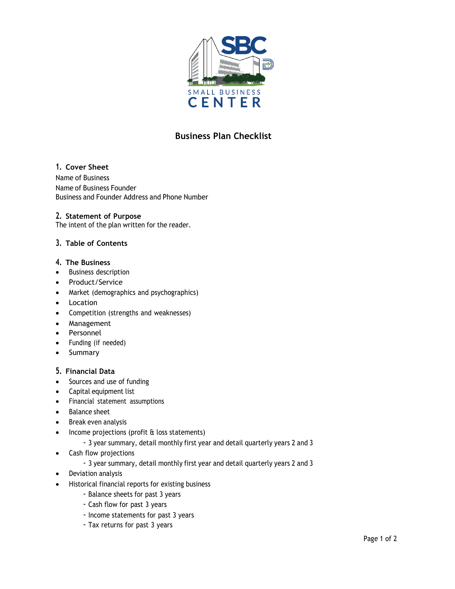

# **Business Plan Checklist**

## **1. Cover Sheet**

Name of Business Name of Business Founder Business and Founder Address and Phone Number

#### **2. Statement of Purpose**

The intent of the plan written for the reader.

## **3. Table of Contents**

#### **4. The Business**

- Business description
- Product/Service
- Market (demographics and psychographics)
- Location
- Competition (strengths and weaknesses)
- Management
- Personnel
- Funding (if needed)
- Summary

### **5. Financial Data**

- Sources and use of funding
- Capital equipment list
- Financial statement assumptions
- Balance sheet
- Break even analysis
- Income projections (profit & loss statements)
	- 3 year summary, detail monthly first year and detail quarterly years 2 and 3
- Cash flow projections
	- 3 year summary, detail monthly first year and detail quarterly years 2 and 3
- Deviation analysis
- Historical financial reports for existing business
	- Balance sheets for past 3 years
	- Cash flow for past 3 years
	- Income statements for past 3 years
	- Tax returns for past 3 years